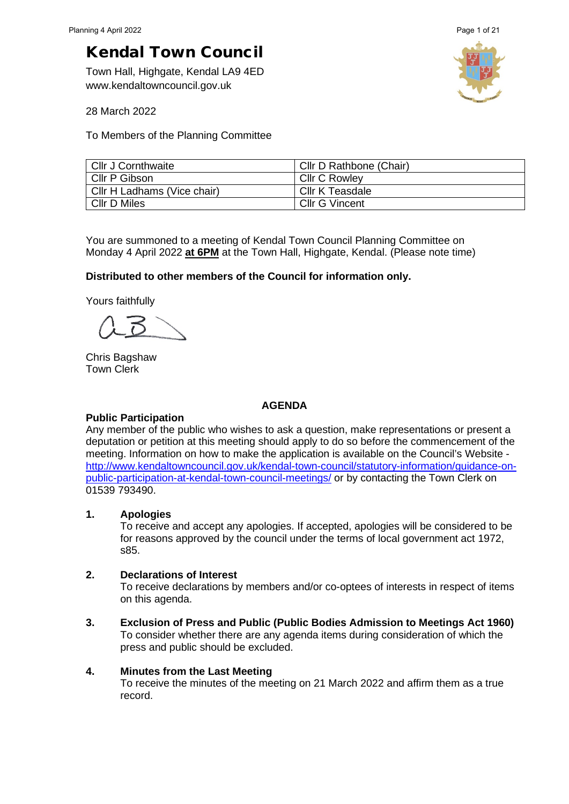Town Hall, Highgate, Kendal LA9 4ED www.kendaltowncouncil.gov.uk



28 March 2022

To Members of the Planning Committee

| Cllr J Cornthwaite          | Cllr D Rathbone (Chair) |
|-----------------------------|-------------------------|
| Cllr P Gibson               | <b>CIIr C Rowley</b>    |
| Cllr H Ladhams (Vice chair) | Cllr K Teasdale         |
| <b>CIIr D Miles</b>         | Cllr G Vincent          |

You are summoned to a meeting of Kendal Town Council Planning Committee on Monday 4 April 2022 **at 6PM** at the Town Hall, Highgate, Kendal. (Please note time)

# **Distributed to other members of the Council for information only.**

Yours faithfully

Chris Bagshaw Town Clerk

### **AGENDA**

### **Public Participation**

Any member of the public who wishes to ask a question, make representations or present a deputation or petition at this meeting should apply to do so before the commencement of the meeting. Information on how to make the application is available on the Council's Website [http://www.kendaltowncouncil.gov.uk/kendal-town-council/statutory-information/guidance-on](http://www.kendaltowncouncil.gov.uk/kendal-town-council/statutory-information/guidance-on-public-participation-at-kendal-town-council-meetings/)[public-participation-at-kendal-town-council-meetings/](http://www.kendaltowncouncil.gov.uk/kendal-town-council/statutory-information/guidance-on-public-participation-at-kendal-town-council-meetings/) or by contacting the Town Clerk on 01539 793490.

# **1. Apologies**

To receive and accept any apologies. If accepted, apologies will be considered to be for reasons approved by the council under the terms of local government act 1972, s85.

# **2. Declarations of Interest**

To receive declarations by members and/or co-optees of interests in respect of items on this agenda.

**3. Exclusion of Press and Public (Public Bodies Admission to Meetings Act 1960)**  To consider whether there are any agenda items during consideration of which the press and public should be excluded.

### **4. Minutes from the Last Meeting**

To receive the minutes of the meeting on 21 March 2022 and affirm them as a true record.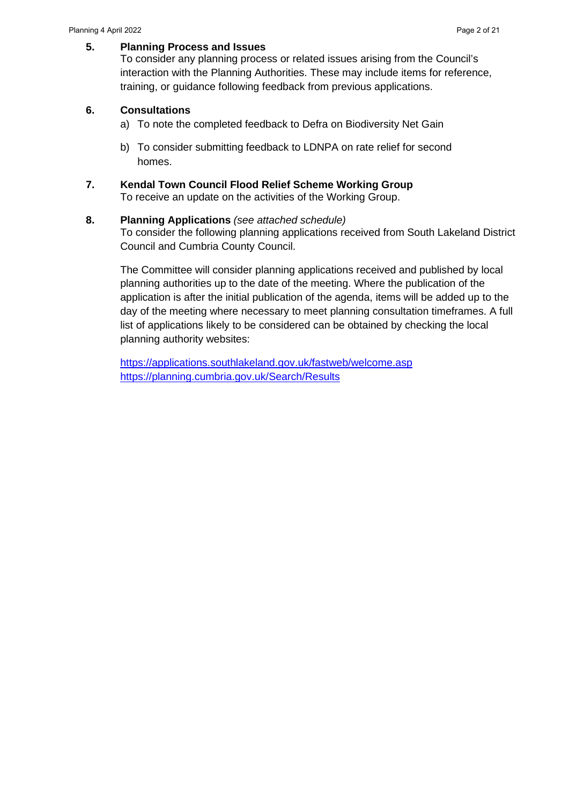### **5. Planning Process and Issues**

To consider any planning process or related issues arising from the Council's interaction with the Planning Authorities. These may include items for reference, training, or guidance following feedback from previous applications.

### **6. Consultations**

- a) To note the completed feedback to Defra on Biodiversity Net Gain
- b) To consider submitting feedback to LDNPA on rate relief for second homes.

# **7. Kendal Town Council Flood Relief Scheme Working Group**

To receive an update on the activities of the Working Group.

### **8. Planning Applications** *(see attached schedule)*

To consider the following planning applications received from South Lakeland District Council and Cumbria County Council.

The Committee will consider planning applications received and published by local planning authorities up to the date of the meeting. Where the publication of the application is after the initial publication of the agenda, items will be added up to the day of the meeting where necessary to meet planning consultation timeframes. A full list of applications likely to be considered can be obtained by checking the local planning authority websites:

<https://applications.southlakeland.gov.uk/fastweb/welcome.asp> <https://planning.cumbria.gov.uk/Search/Results>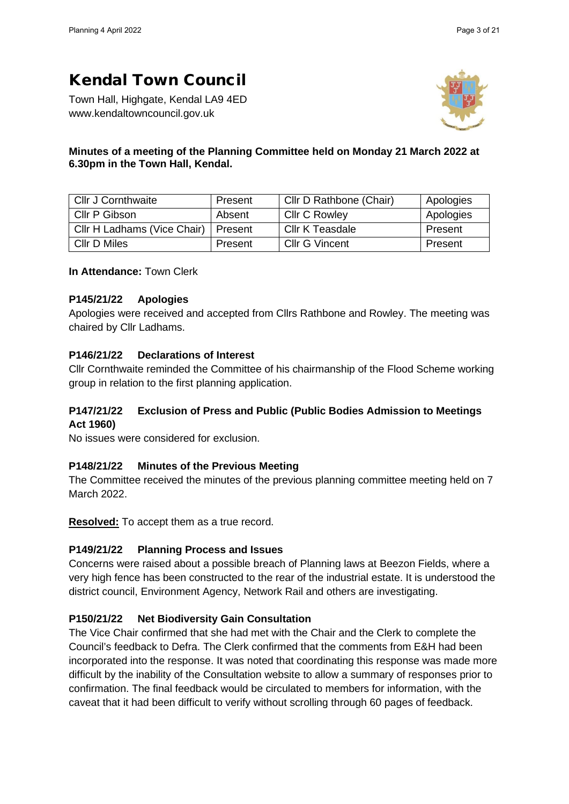Town Hall, Highgate, Kendal LA9 4ED www.kendaltowncouncil.gov.uk



# **Minutes of a meeting of the Planning Committee held on Monday 21 March 2022 at 6.30pm in the Town Hall, Kendal.**

| <b>Cllr J Cornthwaite</b>   | Present | Cllr D Rathbone (Chair) | Apologies |
|-----------------------------|---------|-------------------------|-----------|
| Cllr P Gibson<br>Absent     |         | <b>Cllr C Rowley</b>    | Apologies |
| Cllr H Ladhams (Vice Chair) | Present | Cllr K Teasdale         | Present   |
| Cllr D Miles                | Present | <b>Cllr G Vincent</b>   | Present   |

**In Attendance:** Town Clerk

# **P145/21/22 Apologies**

Apologies were received and accepted from Cllrs Rathbone and Rowley. The meeting was chaired by Cllr Ladhams.

# **P146/21/22 Declarations of Interest**

Cllr Cornthwaite reminded the Committee of his chairmanship of the Flood Scheme working group in relation to the first planning application.

# **P147/21/22 Exclusion of Press and Public (Public Bodies Admission to Meetings Act 1960)**

No issues were considered for exclusion.

# **P148/21/22 Minutes of the Previous Meeting**

The Committee received the minutes of the previous planning committee meeting held on 7 March 2022.

**Resolved:** To accept them as a true record.

# **P149/21/22 Planning Process and Issues**

Concerns were raised about a possible breach of Planning laws at Beezon Fields, where a very high fence has been constructed to the rear of the industrial estate. It is understood the district council, Environment Agency, Network Rail and others are investigating.

# **P150/21/22 Net Biodiversity Gain Consultation**

The Vice Chair confirmed that she had met with the Chair and the Clerk to complete the Council's feedback to Defra. The Clerk confirmed that the comments from E&H had been incorporated into the response. It was noted that coordinating this response was made more difficult by the inability of the Consultation website to allow a summary of responses prior to confirmation. The final feedback would be circulated to members for information, with the caveat that it had been difficult to verify without scrolling through 60 pages of feedback.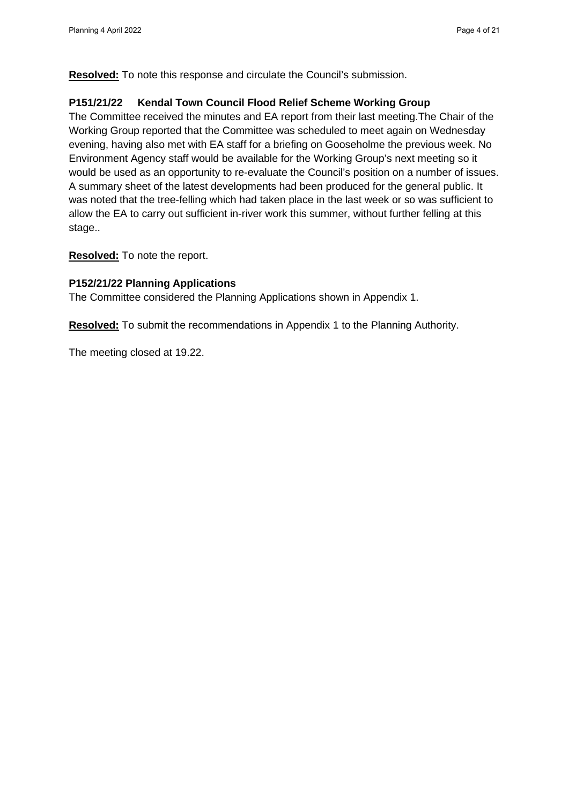**Resolved:** To note this response and circulate the Council's submission.

### **P151/21/22 Kendal Town Council Flood Relief Scheme Working Group**

The Committee received the minutes and EA report from their last meeting.The Chair of the Working Group reported that the Committee was scheduled to meet again on Wednesday evening, having also met with EA staff for a briefing on Gooseholme the previous week. No Environment Agency staff would be available for the Working Group's next meeting so it would be used as an opportunity to re-evaluate the Council's position on a number of issues. A summary sheet of the latest developments had been produced for the general public. It was noted that the tree-felling which had taken place in the last week or so was sufficient to allow the EA to carry out sufficient in-river work this summer, without further felling at this stage..

**Resolved:** To note the report.

### **P152/21/22 Planning Applications**

The Committee considered the Planning Applications shown in Appendix 1.

**Resolved:** To submit the recommendations in Appendix 1 to the Planning Authority.

The meeting closed at 19.22.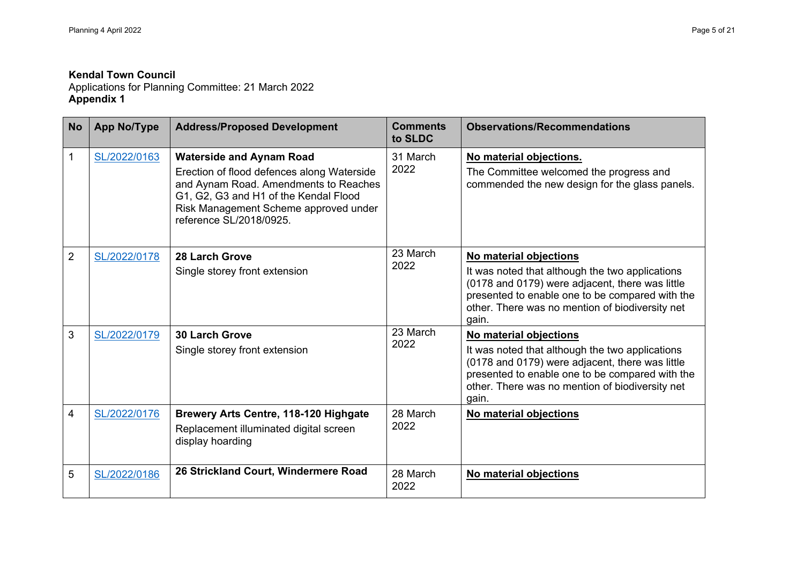Applications for Planning Committee: 21 March 2022 **Appendix 1** 

| <b>No</b>      | <b>App No/Type</b> | <b>Address/Proposed Development</b>                                                                                                                                                                                                 | <b>Comments</b><br>to SLDC | <b>Observations/Recommendations</b>                                                                                                                                                                               |
|----------------|--------------------|-------------------------------------------------------------------------------------------------------------------------------------------------------------------------------------------------------------------------------------|----------------------------|-------------------------------------------------------------------------------------------------------------------------------------------------------------------------------------------------------------------|
| 1              | SL/2022/0163       | <b>Waterside and Aynam Road</b><br>Erection of flood defences along Waterside<br>and Aynam Road. Amendments to Reaches<br>G1, G2, G3 and H1 of the Kendal Flood<br>Risk Management Scheme approved under<br>reference SL/2018/0925. | 31 March<br>2022           | No material objections.<br>The Committee welcomed the progress and<br>commended the new design for the glass panels.                                                                                              |
| $\overline{2}$ | SL/2022/0178       | 28 Larch Grove                                                                                                                                                                                                                      | 23 March                   | No material objections                                                                                                                                                                                            |
|                |                    | Single storey front extension                                                                                                                                                                                                       | 2022                       | It was noted that although the two applications<br>(0178 and 0179) were adjacent, there was little<br>presented to enable one to be compared with the<br>other. There was no mention of biodiversity net<br>gain. |
| 3              | SL/2022/0179       | <b>30 Larch Grove</b>                                                                                                                                                                                                               | 23 March<br>2022           | No material objections                                                                                                                                                                                            |
|                |                    | Single storey front extension                                                                                                                                                                                                       |                            | It was noted that although the two applications<br>(0178 and 0179) were adjacent, there was little<br>presented to enable one to be compared with the<br>other. There was no mention of biodiversity net<br>gain. |
| 4              | SL/2022/0176       | Brewery Arts Centre, 118-120 Highgate<br>Replacement illuminated digital screen<br>display hoarding                                                                                                                                 | 28 March<br>2022           | No material objections                                                                                                                                                                                            |
| 5              | SL/2022/0186       | 26 Strickland Court, Windermere Road                                                                                                                                                                                                | 28 March<br>2022           | No material objections                                                                                                                                                                                            |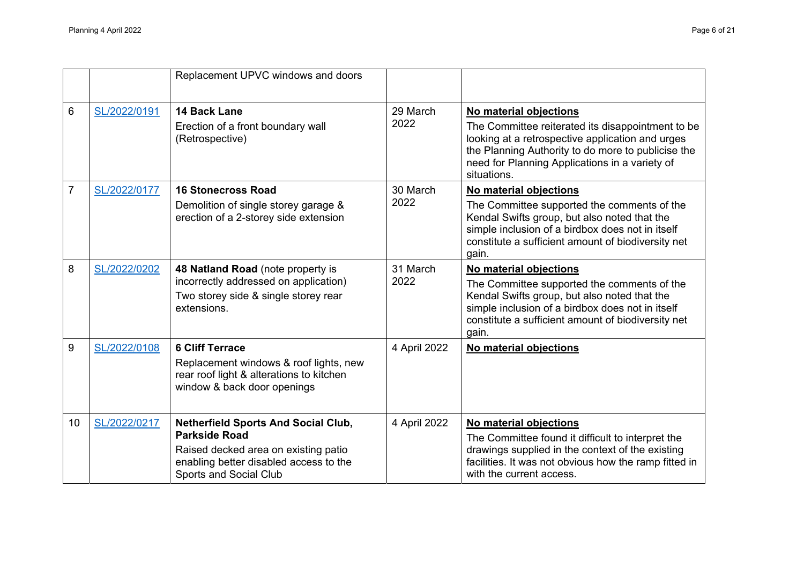|                |              | Replacement UPVC windows and doors                                                                                                                                                    |                  |                                                                                                                                                                                                                                                        |
|----------------|--------------|---------------------------------------------------------------------------------------------------------------------------------------------------------------------------------------|------------------|--------------------------------------------------------------------------------------------------------------------------------------------------------------------------------------------------------------------------------------------------------|
| 6              | SL/2022/0191 | 14 Back Lane<br>Erection of a front boundary wall<br>(Retrospective)                                                                                                                  | 29 March<br>2022 | No material objections<br>The Committee reiterated its disappointment to be<br>looking at a retrospective application and urges<br>the Planning Authority to do more to publicise the<br>need for Planning Applications in a variety of<br>situations. |
| $\overline{7}$ | SL/2022/0177 | <b>16 Stonecross Road</b><br>Demolition of single storey garage &<br>erection of a 2-storey side extension                                                                            | 30 March<br>2022 | No material objections<br>The Committee supported the comments of the<br>Kendal Swifts group, but also noted that the<br>simple inclusion of a birdbox does not in itself<br>constitute a sufficient amount of biodiversity net<br>gain.               |
| 8              | SL/2022/0202 | 48 Natland Road (note property is<br>incorrectly addressed on application)<br>Two storey side & single storey rear<br>extensions.                                                     | 31 March<br>2022 | No material objections<br>The Committee supported the comments of the<br>Kendal Swifts group, but also noted that the<br>simple inclusion of a birdbox does not in itself<br>constitute a sufficient amount of biodiversity net<br>gain.               |
| 9              | SL/2022/0108 | <b>6 Cliff Terrace</b><br>Replacement windows & roof lights, new<br>rear roof light & alterations to kitchen<br>window & back door openings                                           | 4 April 2022     | No material objections                                                                                                                                                                                                                                 |
| 10             | SL/2022/0217 | <b>Netherfield Sports And Social Club,</b><br><b>Parkside Road</b><br>Raised decked area on existing patio<br>enabling better disabled access to the<br><b>Sports and Social Club</b> | 4 April 2022     | No material objections<br>The Committee found it difficult to interpret the<br>drawings supplied in the context of the existing<br>facilities. It was not obvious how the ramp fitted in<br>with the current access.                                   |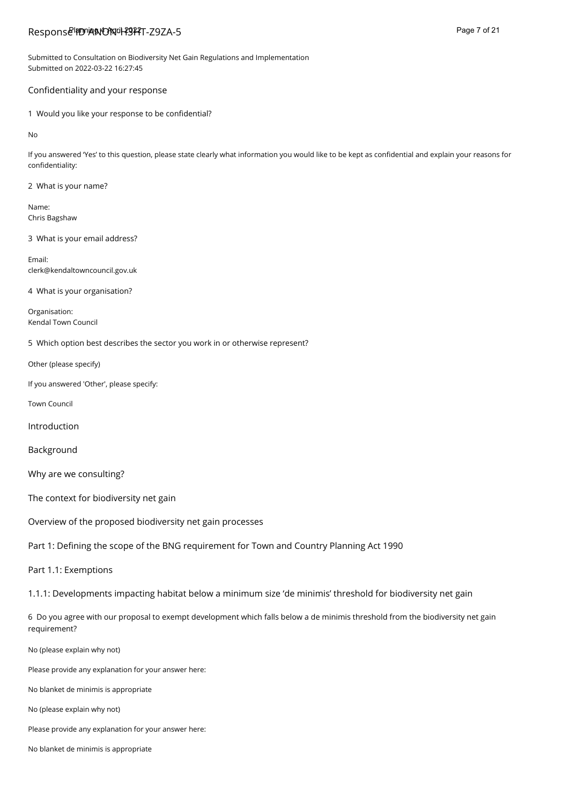# Respons**e<sup>l</sup>ifD'iANON-il-f9ffT-**Z9ZA-5 and the second that the second that the second page 7 of 21

Submitted to Consultation on Biodiversity Net Gain Regulations and Implementation Submitted on 2022-03-22 16:27:45

#### Confidentiality and your response

1 Would you like your response to be confidential?

No

If you answered 'Yes' to this question, please state clearly what information you would like to be kept as confidential and explain your reasons for confidentiality:

2 What is your name?

Name: Chris Bagshaw

3 What is your email address?

Email: clerk@kendaltowncouncil.gov.uk

4 What is your organisation?

Organisation: Kendal Town Council

5 Which option best describes the sector you work in or otherwise represent?

Other (please specify)

If you answered 'Other', please specify:

Town Council

Introduction

Background

Why are we consulting?

The context for biodiversity net gain

Overview of the proposed biodiversity net gain processes

Part 1: Defining the scope of the BNG requirement for Town and Country Planning Act 1990

Part 1.1: Exemptions

1.1.1: Developments impacting habitat below a minimum size 'de minimis' threshold for biodiversity net gain

6 Do you agree with our proposal to exempt development which falls below a de minimis threshold from the biodiversity net gain requirement?

No (please explain why not)

Please provide any explanation for your answer here:

No blanket de minimis is appropriate

No (please explain why not)

Please provide any explanation for your answer here:

No blanket de minimis is appropriate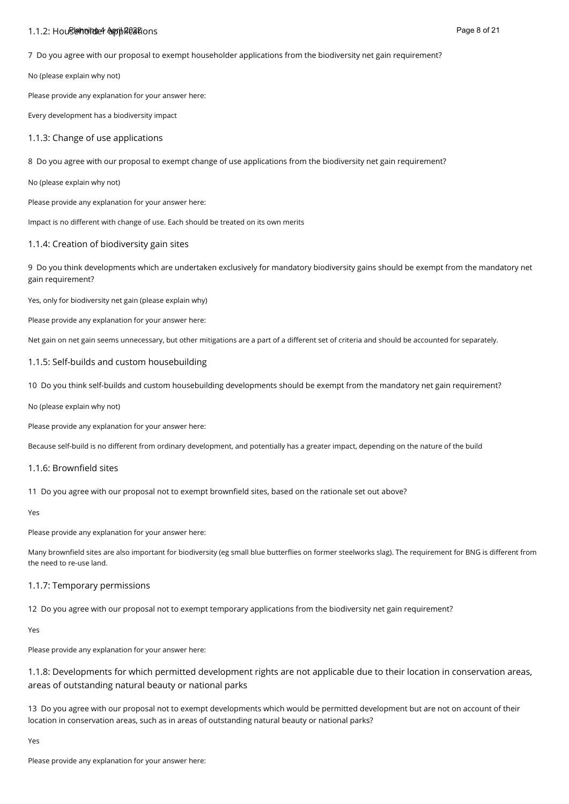### 1.1.2: Householder applications Planning 4 April 2022 Page 8 of 21

7 Do you agree with our proposal to exempt householder applications from the biodiversity net gain requirement?

No (please explain why not)

Please provide any explanation for your answer here:

Every development has a biodiversity impact

#### 1.1.3: Change of use applications

8 Do you agree with our proposal to exempt change of use applications from the biodiversity net gain requirement?

No (please explain why not)

Please provide any explanation for your answer here:

Impact is no different with change of use. Each should be treated on its own merits

#### 1.1.4: Creation of biodiversity gain sites

9 Do you think developments which are undertaken exclusively for mandatory biodiversity gains should be exempt from the mandatory net gain requirement?

Yes, only for biodiversity net gain (please explain why)

Please provide any explanation for your answer here:

Net gain on net gain seems unnecessary, but other mitigations are a part of a different set of criteria and should be accounted for separately.

#### 1.1.5: Self-builds and custom housebuilding

10 Do you think self-builds and custom housebuilding developments should be exempt from the mandatory net gain requirement?

No (please explain why not)

Please provide any explanation for your answer here:

Because self-build is no different from ordinary development, and potentially has a greater impact, depending on the nature of the build

#### 1.1.6: Brownfield sites

11 Do you agree with our proposal not to exempt brownfield sites, based on the rationale set out above?

Yes

Please provide any explanation for your answer here:

Many brownfield sites are also important for biodiversity (eg small blue butterflies on former steelworks slag). The requirement for BNG is different from the need to re-use land.

#### 1.1.7: Temporary permissions

12 Do you agree with our proposal not to exempt temporary applications from the biodiversity net gain requirement?

Yes

Please provide any explanation for your answer here:

1.1.8: Developments for which permitted development rights are not applicable due to their location in conservation areas, areas of outstanding natural beauty or national parks

13 Do you agree with our proposal not to exempt developments which would be permitted development but are not on account of their location in conservation areas, such as in areas of outstanding natural beauty or national parks?

Yes

Please provide any explanation for your answer here: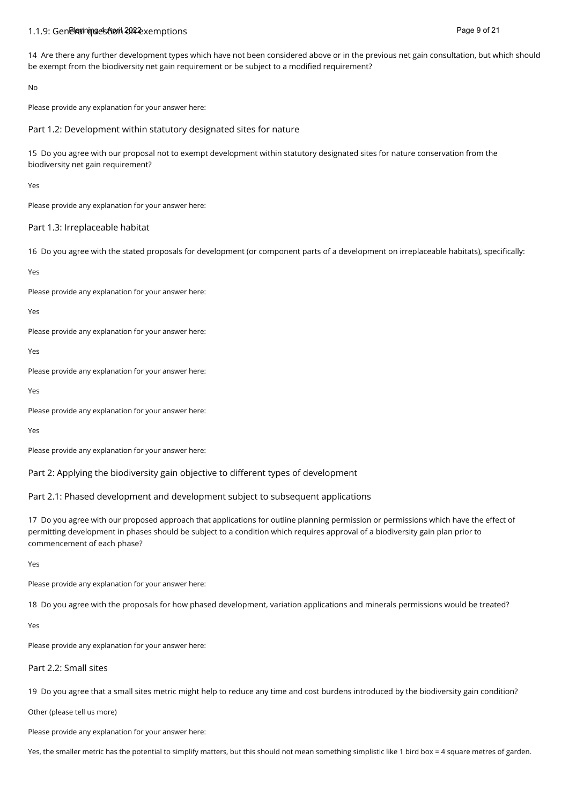#### 1.1.9: Gen**elങ്ങന്യോട് Result on exemptions on exemptions** and exemption of a gradient and the page 9 of 21 April 202

14 Are there any further development types which have not been considered above or in the previous net gain consultation, but which should be exempt from the biodiversity net gain requirement or be subject to a modified requirement?

No

Please provide any explanation for your answer here:

Part 1.2: Development within statutory designated sites for nature

15 Do you agree with our proposal not to exempt development within statutory designated sites for nature conservation from the biodiversity net gain requirement?

Yes

Please provide any explanation for your answer here:

#### Part 1.3: Irreplaceable habitat

16 Do you agree with the stated proposals for development (or component parts of a development on irreplaceable habitats), specifically:

Yes

Please provide any explanation for your answer here:

Yes

Please provide any explanation for your answer here:

Yes

Please provide any explanation for your answer here:

Yes

Please provide any explanation for your answer here:

Yes

Please provide any explanation for your answer here:

Part 2: Applying the biodiversity gain objective to different types of development

Part 2.1: Phased development and development subject to subsequent applications

17 Do you agree with our proposed approach that applications for outline planning permission or permissions which have the effect of permitting development in phases should be subject to a condition which requires approval of a biodiversity gain plan prior to commencement of each phase?

Yes

Please provide any explanation for your answer here:

18 Do you agree with the proposals for how phased development, variation applications and minerals permissions would be treated?

Yes

Please provide any explanation for your answer here:

#### Part 2.2: Small sites

19 Do you agree that a small sites metric might help to reduce any time and cost burdens introduced by the biodiversity gain condition?

Other (please tell us more)

Please provide any explanation for your answer here:

Yes, the smaller metric has the potential to simplify matters, but this should not mean something simplistic like 1 bird box = 4 square metres of garden.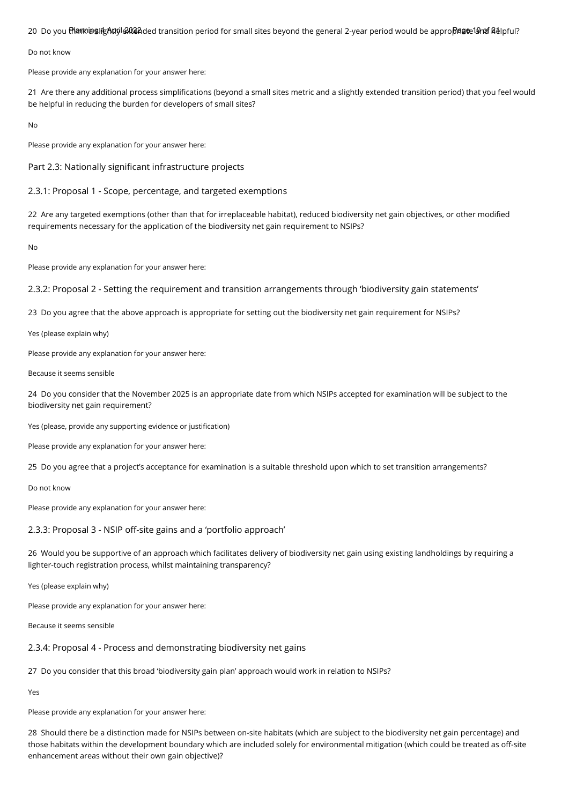20 Do you **thକାଦାଜ୍ଞାାନ୍ତନ୍ୟପ୍ରେଣ୍**ଥିପ transition period for small sites beyond the general 2-year period would be appro**ନିଶ୍ୱର**୍ଷୋନ**ୀ** ଜଣାpful?

Do not know

Please provide any explanation for your answer here:

21 Are there any additional process simplifications (beyond a small sites metric and a slightly extended transition period) that you feel would be helpful in reducing the burden for developers of small sites?

No

Please provide any explanation for your answer here:

Part 2.3: Nationally significant infrastructure projects

2.3.1: Proposal 1 - Scope, percentage, and targeted exemptions

22 Are any targeted exemptions (other than that for irreplaceable habitat), reduced biodiversity net gain objectives, or other modified requirements necessary for the application of the biodiversity net gain requirement to NSIPs?

No

Please provide any explanation for your answer here:

2.3.2: Proposal 2 - Setting the requirement and transition arrangements through 'biodiversity gain statements'

23 Do you agree that the above approach is appropriate for setting out the biodiversity net gain requirement for NSIPs?

Yes (please explain why)

Please provide any explanation for your answer here:

Because it seems sensible

24 Do you consider that the November 2025 is an appropriate date from which NSIPs accepted for examination will be subject to the biodiversity net gain requirement?

Yes (please, provide any supporting evidence or justification)

Please provide any explanation for your answer here:

25 Do you agree that a project's acceptance for examination is a suitable threshold upon which to set transition arrangements?

Do not know

Please provide any explanation for your answer here:

2.3.3: Proposal 3 - NSIP off-site gains and a 'portfolio approach'

26 Would you be supportive of an approach which facilitates delivery of biodiversity net gain using existing landholdings by requiring a lighter-touch registration process, whilst maintaining transparency?

Yes (please explain why)

Please provide any explanation for your answer here:

Because it seems sensible

2.3.4: Proposal 4 - Process and demonstrating biodiversity net gains

27 Do you consider that this broad 'biodiversity gain plan' approach would work in relation to NSIPs?

Yes

Please provide any explanation for your answer here:

28 Should there be a distinction made for NSIPs between on-site habitats (which are subject to the biodiversity net gain percentage) and those habitats within the development boundary which are included solely for environmental mitigation (which could be treated as off-site enhancement areas without their own gain objective)?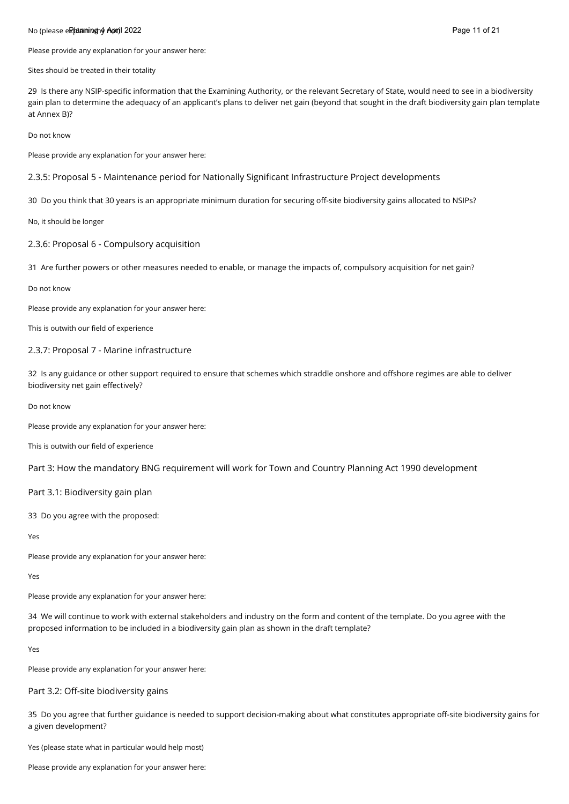#### No (please e**Rhamming 4 April** 2022 Page 11 of 21 April 2022 Page 11 of 21 April 2022 Page 11 of 21 April 2022 Page 11 of 21 April 2022 Page 11 of 21 April 2022 Page 11 of 21 April 2022

Please provide any explanation for your answer here:

Sites should be treated in their totality

29 Is there any NSIP-specific information that the Examining Authority, or the relevant Secretary of State, would need to see in a biodiversity gain plan to determine the adequacy of an applicant's plans to deliver net gain (beyond that sought in the draft biodiversity gain plan template at Annex B)?

Do not know

Please provide any explanation for your answer here:

2.3.5: Proposal 5 - Maintenance period for Nationally Significant Infrastructure Project developments

30 Do you think that 30 years is an appropriate minimum duration for securing off-site biodiversity gains allocated to NSIPs?

No, it should be longer

#### 2.3.6: Proposal 6 - Compulsory acquisition

31 Are further powers or other measures needed to enable, or manage the impacts of, compulsory acquisition for net gain?

Do not know

Please provide any explanation for your answer here:

This is outwith our field of experience

#### 2.3.7: Proposal 7 - Marine infrastructure

32 Is any guidance or other support required to ensure that schemes which straddle onshore and offshore regimes are able to deliver biodiversity net gain effectively?

Do not know

Please provide any explanation for your answer here:

This is outwith our field of experience

Part 3: How the mandatory BNG requirement will work for Town and Country Planning Act 1990 development

Part 3.1: Biodiversity gain plan

33 Do you agree with the proposed:

Yes

Please provide any explanation for your answer here:

Yes

Please provide any explanation for your answer here:

34 We will continue to work with external stakeholders and industry on the form and content of the template. Do you agree with the proposed information to be included in a biodiversity gain plan as shown in the draft template?

Yes

Please provide any explanation for your answer here:

Part 3.2: Off-site biodiversity gains

35 Do you agree that further guidance is needed to support decision-making about what constitutes appropriate off-site biodiversity gains for a given development?

Yes (please state what in particular would help most)

Please provide any explanation for your answer here: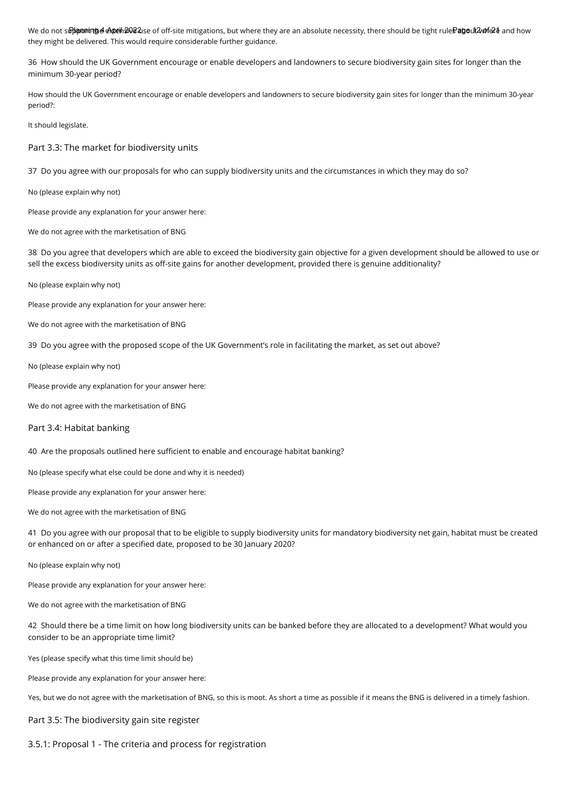We do not s**ট} pontng el Apeih ያ이**දැයe of off-site mitigations, but where they are an absolute necessity, there should be tight rule $P$ **age**ut2ለቀነ��� and how they might be delivered. This would require considerable further guidance.

36 How should the UK Government encourage or enable developers and landowners to secure biodiversity gain sites for longer than the minimum 30-year period?

How should the UK Government encourage or enable developers and landowners to secure biodiversity gain sites for longer than the minimum 30-year period?:

It should legislate.

Part 3.3: The market for biodiversity units

37 Do you agree with our proposals for who can supply biodiversity units and the circumstances in which they may do so?

No (please explain why not)

Please provide any explanation for your answer here:

We do not agree with the marketisation of BNG

38 Do you agree that developers which are able to exceed the biodiversity gain objective for a given development should be allowed to use or sell the excess biodiversity units as off-site gains for another development, provided there is genuine additionality?

No (please explain why not)

Please provide any explanation for your answer here:

We do not agree with the marketisation of BNG

39 Do you agree with the proposed scope of the UK Government's role in facilitating the market, as set out above?

No (please explain why not)

Please provide any explanation for your answer here:

We do not agree with the marketisation of BNG

#### Part 3.4: Habitat banking

40 Are the proposals outlined here sufficient to enable and encourage habitat banking?

No (please specify what else could be done and why it is needed)

Please provide any explanation for your answer here:

We do not agree with the marketisation of BNG

41 Do you agree with our proposal that to be eligible to supply biodiversity units for mandatory biodiversity net gain, habitat must be created or enhanced on or after a specified date, proposed to be 30 January 2020?

No (please explain why not)

Please provide any explanation for your answer here:

We do not agree with the marketisation of BNG

42 Should there be a time limit on how long biodiversity units can be banked before they are allocated to a development? What would you consider to be an appropriate time limit?

Yes (please specify what this time limit should be)

Please provide any explanation for your answer here:

Yes, but we do not agree with the marketisation of BNG, so this is moot. As short a time as possible if it means the BNG is delivered in a timely fashion.

Part 3.5: The biodiversity gain site register

3.5.1: Proposal 1 - The criteria and process for registration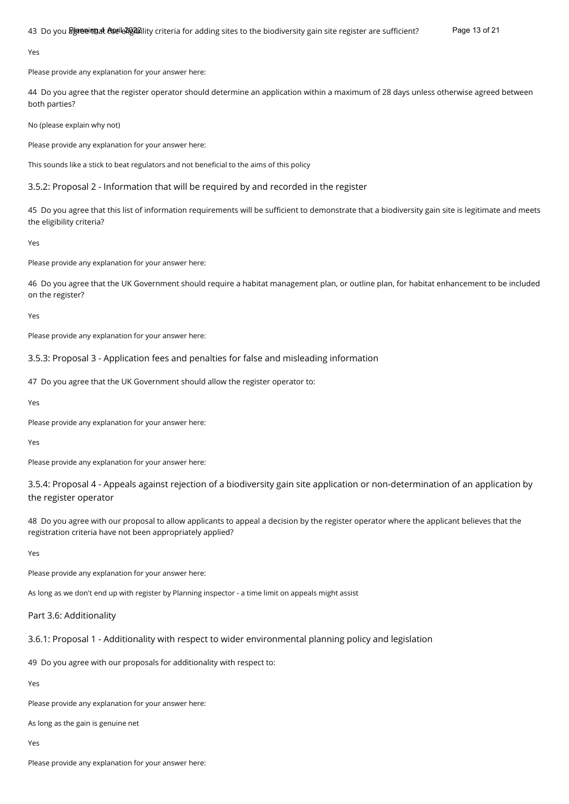Yes

Please provide any explanation for your answer here:

44 Do you agree that the register operator should determine an application within a maximum of 28 days unless otherwise agreed between both parties?

No (please explain why not)

Please provide any explanation for your answer here:

This sounds like a stick to beat regulators and not beneficial to the aims of this policy

3.5.2: Proposal 2 - Information that will be required by and recorded in the register

45 Do you agree that this list of information requirements will be sufficient to demonstrate that a biodiversity gain site is legitimate and meets the eligibility criteria?

Yes

Please provide any explanation for your answer here:

46 Do you agree that the UK Government should require a habitat management plan, or outline plan, for habitat enhancement to be included on the register?

Yes

Please provide any explanation for your answer here:

3.5.3: Proposal 3 - Application fees and penalties for false and misleading information

47 Do you agree that the UK Government should allow the register operator to:

Yes

Please provide any explanation for your answer here:

Yes

Please provide any explanation for your answer here:

3.5.4: Proposal 4 - Appeals against rejection of a biodiversity gain site application or non-determination of an application by the register operator

48 Do you agree with our proposal to allow applicants to appeal a decision by the register operator where the applicant believes that the registration criteria have not been appropriately applied?

Yes

Please provide any explanation for your answer here:

As long as we don't end up with register by Planning inspector - a time limit on appeals might assist

#### Part 3.6: Additionality

3.6.1: Proposal 1 - Additionality with respect to wider environmental planning policy and legislation

49 Do you agree with our proposals for additionality with respect to:

Yes

Please provide any explanation for your answer here:

As long as the gain is genuine net

Yes

Please provide any explanation for your answer here: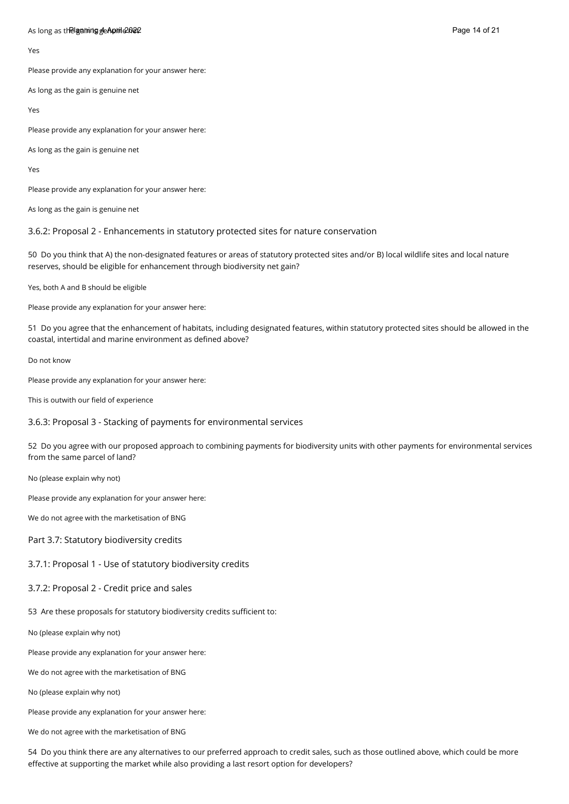#### As long as t**he gaining de April 2022** Page 14 of 21 April 2022 Page 14 of 21 April 2022 Page 14 of 21 April 2022

Yes

Please provide any explanation for your answer here:

As long as the gain is genuine net

Yes

Please provide any explanation for your answer here:

As long as the gain is genuine net

Yes

Please provide any explanation for your answer here:

As long as the gain is genuine net

3.6.2: Proposal 2 - Enhancements in statutory protected sites for nature conservation

50 Do you think that A) the non-designated features or areas of statutory protected sites and/or B) local wildlife sites and local nature reserves, should be eligible for enhancement through biodiversity net gain?

Yes, both A and B should be eligible

Please provide any explanation for your answer here:

51 Do you agree that the enhancement of habitats, including designated features, within statutory protected sites should be allowed in the coastal, intertidal and marine environment as defined above?

Do not know

Please provide any explanation for your answer here:

This is outwith our field of experience

3.6.3: Proposal 3 - Stacking of payments for environmental services

52 Do you agree with our proposed approach to combining payments for biodiversity units with other payments for environmental services from the same parcel of land?

No (please explain why not)

Please provide any explanation for your answer here:

We do not agree with the marketisation of BNG

Part 3.7: Statutory biodiversity credits

3.7.1: Proposal 1 - Use of statutory biodiversity credits

3.7.2: Proposal 2 - Credit price and sales

53 Are these proposals for statutory biodiversity credits sufficient to:

No (please explain why not)

Please provide any explanation for your answer here:

We do not agree with the marketisation of BNG

No (please explain why not)

Please provide any explanation for your answer here:

We do not agree with the marketisation of BNG

54 Do you think there are any alternatives to our preferred approach to credit sales, such as those outlined above, which could be more effective at supporting the market while also providing a last resort option for developers?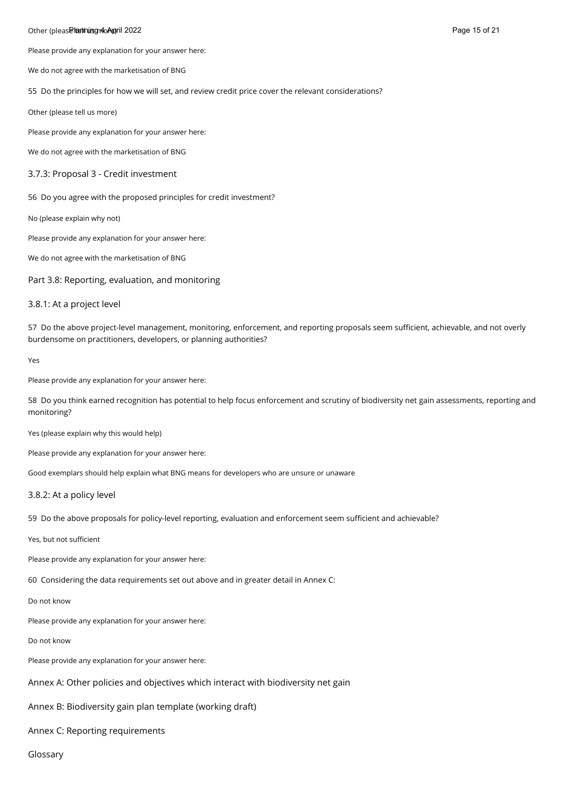#### Other (pleas**e leathuisg 140April 2022** Page 15 of 21 April 2022 Page 15 of 21 April 2022 Page 15 of 21 April 2022

Please provide any explanation for your answer here:

We do not agree with the marketisation of BNG

55 Do the principles for how we will set, and review credit price cover the relevant considerations?

Other (please tell us more)

Please provide any explanation for your answer here:

We do not agree with the marketisation of BNG

#### 3.7.3: Proposal 3 - Credit investment

56 Do you agree with the proposed principles for credit investment?

No (please explain why not)

Please provide any explanation for your answer here:

We do not agree with the marketisation of BNG

Part 3.8: Reporting, evaluation, and monitoring

#### 3.8.1: At a project level

57 Do the above project-level management, monitoring, enforcement, and reporting proposals seem sufficient, achievable, and not overly burdensome on practitioners, developers, or planning authorities?

Yes

Please provide any explanation for your answer here:

58 Do you think earned recognition has potential to help focus enforcement and scrutiny of biodiversity net gain assessments, reporting and monitoring?

Yes (please explain why this would help)

Please provide any explanation for your answer here:

Good exemplars should help explain what BNG means for developers who are unsure or unaware

#### 3.8.2: At a policy level

59 Do the above proposals for policy-level reporting, evaluation and enforcement seem sufficient and achievable?

Yes, but not sufficient

Please provide any explanation for your answer here:

60 Considering the data requirements set out above and in greater detail in Annex C:

Do not know

Please provide any explanation for your answer here:

Do not know

Please provide any explanation for your answer here:

Annex A: Other policies and objectives which interact with biodiversity net gain

Annex B: Biodiversity gain plan template (working draft)

Annex C: Reporting requirements

Glossary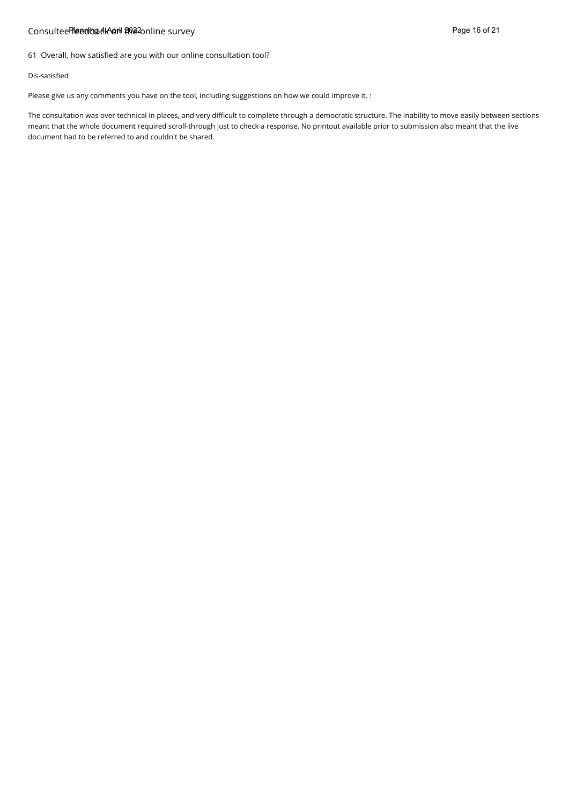### Consultee<del>lTeedback\on ปล่อ</del>2online survey Page 16 of 21

61 Overall, how satisfied are you with our online consultation tool?

#### Dis-satisfied

Please give us any comments you have on the tool, including suggestions on how we could improve it. :

The consultation was over technical in places, and very difficult to complete through a democratic structure. The inability to move easily between sections meant that the whole document required scroll-through just to check a response. No printout available prior to submission also meant that the live document had to be referred to and couldn't be shared.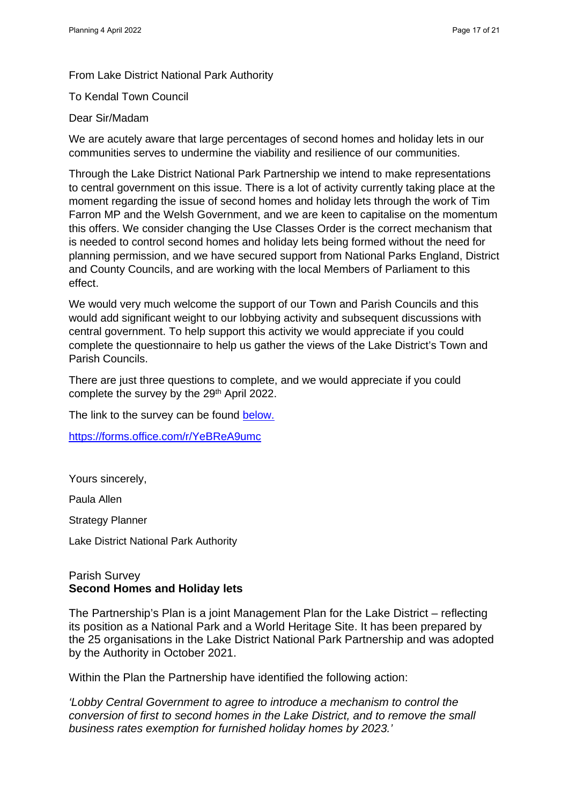From Lake District National Park Authority

To Kendal Town Council

### Dear Sir/Madam

We are acutely aware that large percentages of second homes and holiday lets in our communities serves to undermine the viability and resilience of our communities.

Through the Lake District National Park Partnership we intend to make representations to central government on this issue. There is a lot of activity currently taking place at the moment regarding the issue of second homes and holiday lets through the work of Tim Farron MP and the Welsh Government, and we are keen to capitalise on the momentum this offers. We consider changing the Use Classes Order is the correct mechanism that is needed to control second homes and holiday lets being formed without the need for planning permission, and we have secured support from National Parks England, District and County Councils, and are working with the local Members of Parliament to this effect.

We would very much welcome the support of our Town and Parish Councils and this would add significant weight to our lobbying activity and subsequent discussions with central government. To help support this activity we would appreciate if you could complete the questionnaire to help us gather the views of the Lake District's Town and Parish Councils.

There are just three questions to complete, and we would appreciate if you could complete the survey by the 29<sup>th</sup> April 2022.

The link to the survey can be found below.

<https://forms.office.com/r/YeBReA9umc>

Yours sincerely,

Paula Allen

Strategy Planner

Lake District National Park Authority

# Parish Survey **Second Homes and Holiday lets**

The Partnership's Plan is a joint Management Plan for the Lake District – reflecting its position as a National Park and a World Heritage Site. It has been prepared by the 25 organisations in the Lake District National Park Partnership and was adopted by the Authority in October 2021.

Within the Plan the Partnership have identified the following action:

*'Lobby Central Government to agree to introduce a mechanism to control the conversion of first to second homes in the Lake District, and to remove the small business rates exemption for furnished holiday homes by 2023.'*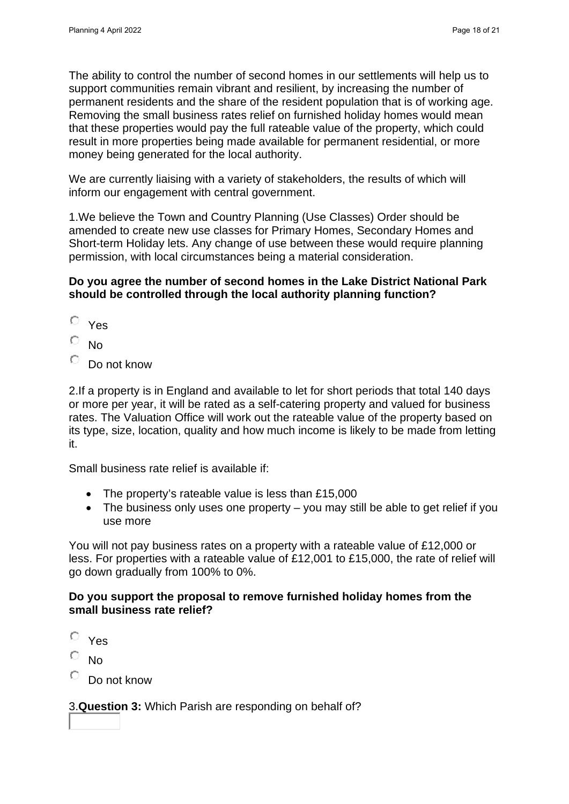The ability to control the number of second homes in our settlements will help us to support communities remain vibrant and resilient, by increasing the number of permanent residents and the share of the resident population that is of working age. Removing the small business rates relief on furnished holiday homes would mean that these properties would pay the full rateable value of the property, which could result in more properties being made available for permanent residential, or more money being generated for the local authority.

We are currently liaising with a variety of stakeholders, the results of which will inform our engagement with central government.

1.We believe the Town and Country Planning (Use Classes) Order should be amended to create new use classes for Primary Homes, Secondary Homes and Short-term Holiday lets. Any change of use between these would require planning permission, with local circumstances being a material consideration.

# **Do you agree the number of second homes in the Lake District National Park should be controlled through the local authority planning function?**

- O Yes
- О No
- О Do not know

2.If a property is in England and available to let for short periods that total 140 days or more per year, it will be rated as a self-catering property and valued for business rates. The Valuation Office will work out the rateable value of the property based on its type, size, location, quality and how much income is likely to be made from letting it.

Small business rate relief is available if:

- The property's rateable value is less than £15,000
- The business only uses one property you may still be able to get relief if you use more

You will not pay business rates on a property with a rateable value of £12,000 or less. For properties with a rateable value of £12,001 to £15,000, the rate of relief will go down gradually from 100% to 0%.

# **Do you support the proposal to remove furnished holiday homes from the small business rate relief?**

- O Yes
- No
- Do not know

3.**Question 3:** Which Parish are responding on behalf of?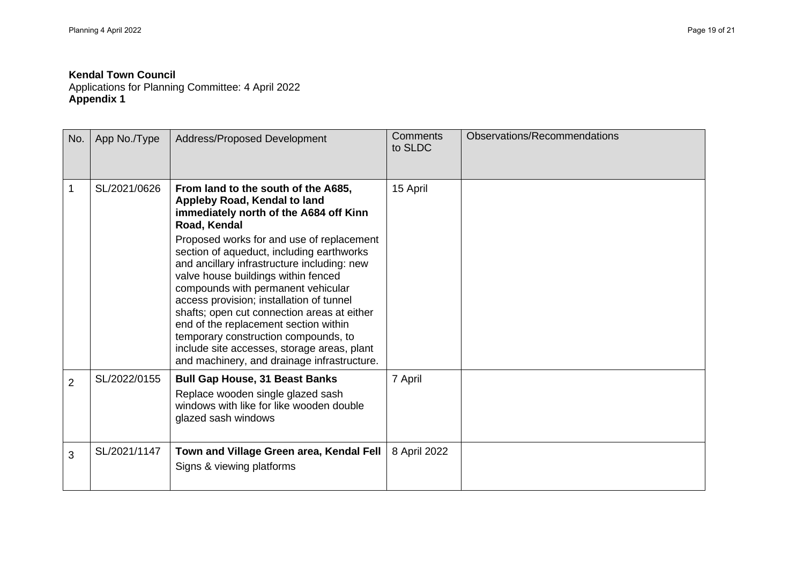Applications for Planning Committee: 4 April 2022 **Appendix 1**

| No.            | App No./Type | Address/Proposed Development                                                                                                                                                                                                                                                                                                                                                                                                                                                                                                                                                                                                  | <b>Comments</b><br>to SLDC | Observations/Recommendations |
|----------------|--------------|-------------------------------------------------------------------------------------------------------------------------------------------------------------------------------------------------------------------------------------------------------------------------------------------------------------------------------------------------------------------------------------------------------------------------------------------------------------------------------------------------------------------------------------------------------------------------------------------------------------------------------|----------------------------|------------------------------|
| 1              | SL/2021/0626 | From land to the south of the A685,<br>Appleby Road, Kendal to land<br>immediately north of the A684 off Kinn<br>Road, Kendal<br>Proposed works for and use of replacement<br>section of aqueduct, including earthworks<br>and ancillary infrastructure including: new<br>valve house buildings within fenced<br>compounds with permanent vehicular<br>access provision; installation of tunnel<br>shafts; open cut connection areas at either<br>end of the replacement section within<br>temporary construction compounds, to<br>include site accesses, storage areas, plant<br>and machinery, and drainage infrastructure. | 15 April                   |                              |
| $\overline{2}$ | SL/2022/0155 | <b>Bull Gap House, 31 Beast Banks</b><br>Replace wooden single glazed sash<br>windows with like for like wooden double<br>glazed sash windows                                                                                                                                                                                                                                                                                                                                                                                                                                                                                 | 7 April                    |                              |
| 3              | SL/2021/1147 | Town and Village Green area, Kendal Fell<br>Signs & viewing platforms                                                                                                                                                                                                                                                                                                                                                                                                                                                                                                                                                         | 8 April 2022               |                              |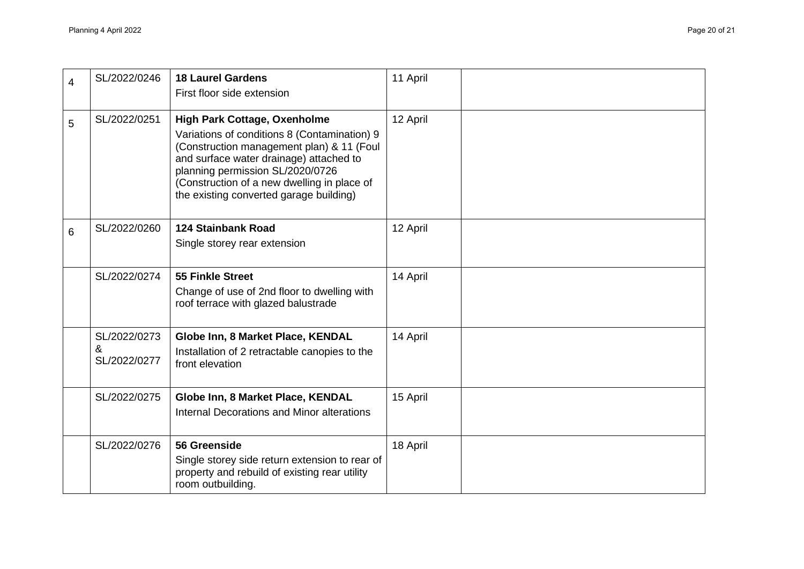| $\overline{4}$ | SL/2022/0246                      | <b>18 Laurel Gardens</b><br>First floor side extension                                                                                                                                                                                                                                                    | 11 April |  |
|----------------|-----------------------------------|-----------------------------------------------------------------------------------------------------------------------------------------------------------------------------------------------------------------------------------------------------------------------------------------------------------|----------|--|
| 5              | SL/2022/0251                      | <b>High Park Cottage, Oxenholme</b><br>Variations of conditions 8 (Contamination) 9<br>(Construction management plan) & 11 (Foul<br>and surface water drainage) attached to<br>planning permission SL/2020/0726<br>(Construction of a new dwelling in place of<br>the existing converted garage building) | 12 April |  |
| 6              | SL/2022/0260                      | <b>124 Stainbank Road</b><br>Single storey rear extension                                                                                                                                                                                                                                                 | 12 April |  |
|                | SL/2022/0274                      | <b>55 Finkle Street</b><br>Change of use of 2nd floor to dwelling with<br>roof terrace with glazed balustrade                                                                                                                                                                                             | 14 April |  |
|                | SL/2022/0273<br>&<br>SL/2022/0277 | Globe Inn, 8 Market Place, KENDAL<br>Installation of 2 retractable canopies to the<br>front elevation                                                                                                                                                                                                     | 14 April |  |
|                | SL/2022/0275                      | Globe Inn, 8 Market Place, KENDAL<br>Internal Decorations and Minor alterations                                                                                                                                                                                                                           | 15 April |  |
|                | SL/2022/0276                      | 56 Greenside<br>Single storey side return extension to rear of<br>property and rebuild of existing rear utility<br>room outbuilding.                                                                                                                                                                      | 18 April |  |